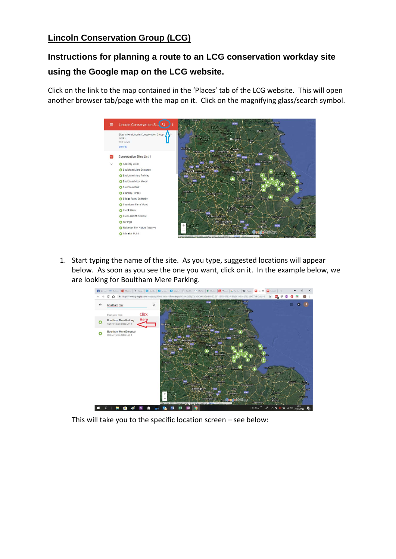## **Lincoln Conservation Group (LCG)**

## **Instructions for planning a route to an LCG conservation workday site using the Google map on the LCG website.**

Click on the link to the map contained in the 'Places' tab of the LCG website. This will open another browser tab/page with the map on it. Click on the magnifying glass/search symbol.



1. Start typing the name of the site. As you type, suggested locations will appear below. As soon as you see the one you want, click on it. In the example below, we are looking for Boultham Mere Parking.



This will take you to the specific location screen – see below: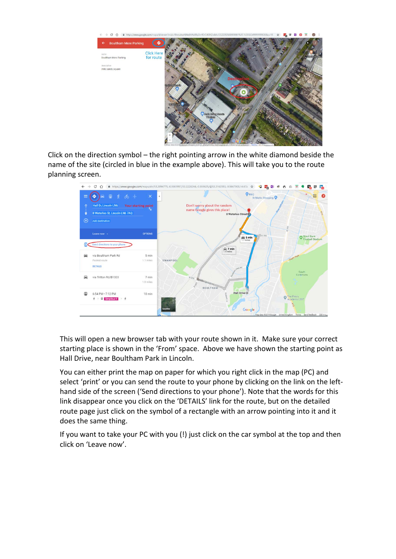

Click on the direction symbol – the right pointing arrow in the white diamond beside the name of the site (circled in blue in the example above). This will take you to the route planning screen.



This will open a new browser tab with your route shown in it. Make sure your correct starting place is shown in the 'From' space. Above we have shown the starting point as Hall Drive, near Boultham Park in Lincoln.

You can either print the map on paper for which you right click in the map (PC) and select 'print' or you can send the route to your phone by clicking on the link on the lefthand side of the screen ('Send directions to your phone'). Note that the words for this link disappear once you click on the 'DETAILS' link for the route, but on the detailed route page just click on the symbol of a rectangle with an arrow pointing into it and it does the same thing.

If you want to take your PC with you (!) just click on the car symbol at the top and then click on 'Leave now'.